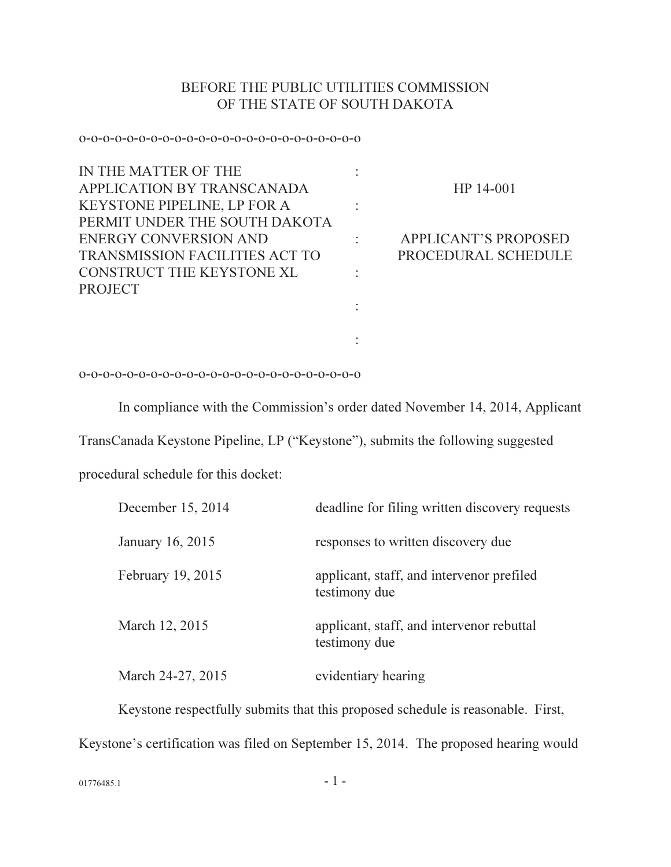## BEFORE THE PUBLIC UTILITIES COMMISSION OF THE STATE OF SOUTH DAKOTA

## o-o-o-o-o-o-o-o-o-o-o-o-o-o-o-o-o-o-o-o-o-o-o-o

| IN THE MATTER OF THE                  |                             |
|---------------------------------------|-----------------------------|
| APPLICATION BY TRANSCANADA            | HP 14-001                   |
| <b>KEYSTONE PIPELINE, LP FOR A</b>    |                             |
| PERMIT UNDER THE SOUTH DAKOTA         |                             |
| <b>ENERGY CONVERSION AND</b>          | <b>APPLICANT'S PROPOSED</b> |
| <b>TRANSMISSION FACILITIES ACT TO</b> | PROCEDURAL SCHEDULE         |
| CONSTRUCT THE KEYSTONE XL             |                             |
| <b>PROJECT</b>                        |                             |
|                                       |                             |
|                                       |                             |
|                                       |                             |

## o-o-o-o-o-o-o-o-o-o-o-o-o-o-o-o-o-o-o-o-o-o-o-o

In compliance with the Commission's order dated November 14, 2014, Applicant

TransCanada Keystone Pipeline, LP ("Keystone"), submits the following suggested

procedural schedule for this docket:

| December 15, 2014 | deadline for filing written discovery requests             |
|-------------------|------------------------------------------------------------|
| January 16, 2015  | responses to written discovery due                         |
| February 19, 2015 | applicant, staff, and intervenor prefiled<br>testimony due |
| March 12, 2015    | applicant, staff, and intervenor rebuttal<br>testimony due |
| March 24-27, 2015 | evidentiary hearing                                        |

Keystone respectfully submits that this proposed schedule is reasonable. First, Keystone's certification was filed on September 15, 2014. The proposed hearing would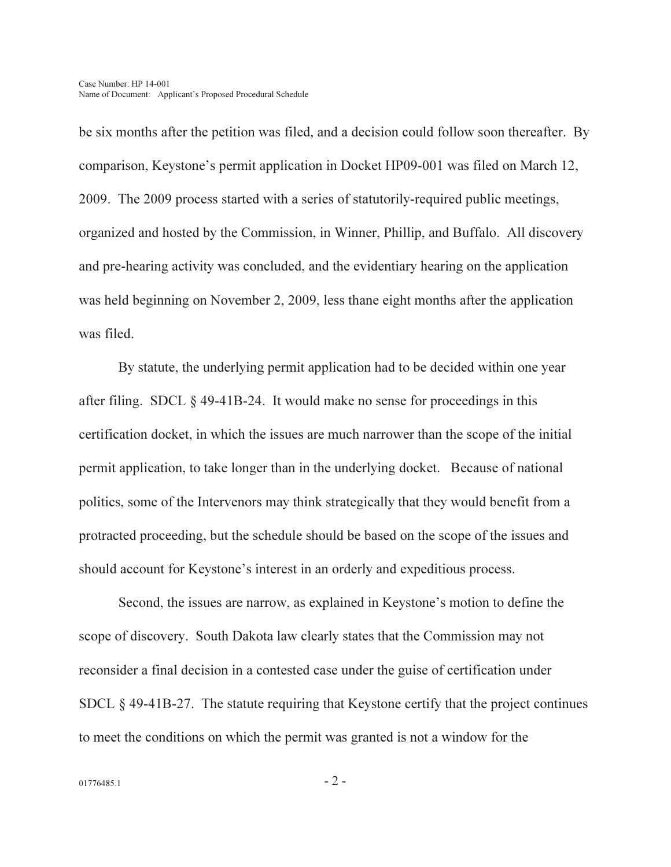be six months after the petition was filed, and a decision could follow soon thereafter. By comparison, Keystone's permit application in Docket HP09-001 was filed on March 12, 2009. The 2009 process started with a series of statutorily-required public meetings, organized and hosted by the Commission, in Winner, Phillip, and Buffalo. All discovery and pre-hearing activity was concluded, and the evidentiary hearing on the application was held beginning on November 2, 2009, less thane eight months after the application was filed.

By statute, the underlying permit application had to be decided within one year after filing. SDCL § 49-41B-24. It would make no sense for proceedings in this certification docket, in which the issues are much narrower than the scope of the initial permit application, to take longer than in the underlying docket. Because of national politics, some of the Intervenors may think strategically that they would benefit from a protracted proceeding, but the schedule should be based on the scope of the issues and should account for Keystone's interest in an orderly and expeditious process.

Second, the issues are narrow, as explained in Keystone's motion to define the scope of discovery. South Dakota law clearly states that the Commission may not reconsider a final decision in a contested case under the guise of certification under SDCL § 49-41B-27. The statute requiring that Keystone certify that the project continues to meet the conditions on which the permit was granted is not a window for the